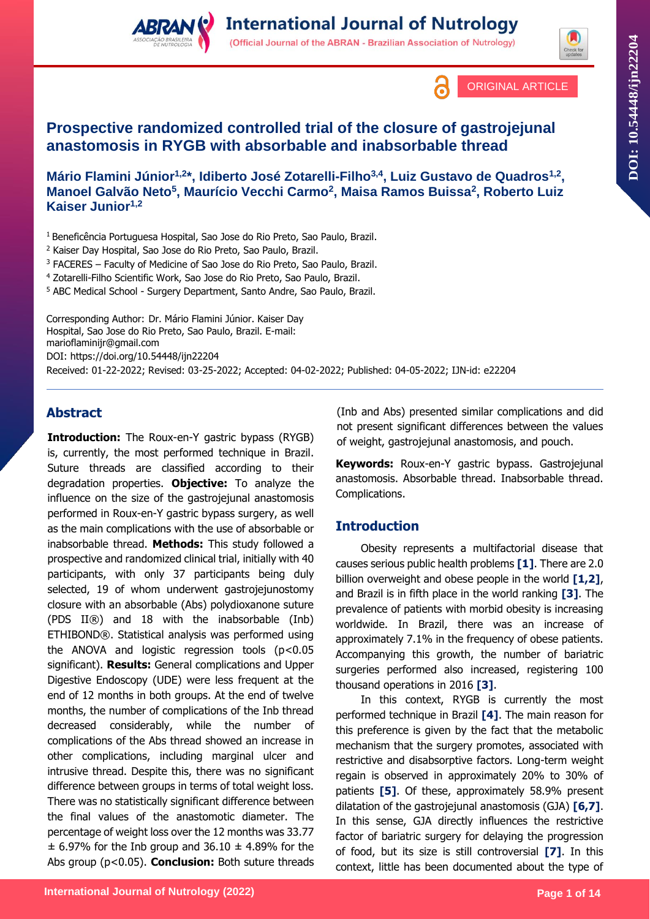





# **Prospective randomized controlled trial of the closure of gastrojejunal anastomosis in RYGB with absorbable and inabsorbable thread**

**Mário Flamini Júnior1,2\*, Idiberto José Zotarelli-Filho3,4, Luiz Gustavo de Quadros1,2 , Manoel Galvão Neto<sup>5</sup> , Maurício Vecchi Carmo<sup>2</sup> , Maisa Ramos Buissa<sup>2</sup> , Roberto Luiz Kaiser Junior1,2**

<sup>1</sup> Beneficência Portuguesa Hospital, Sao Jose do Rio Preto, Sao Paulo, Brazil.

<sup>2</sup> Kaiser Day Hospital, Sao Jose do Rio Preto, Sao Paulo, Brazil.

<sup>3</sup> FACERES – Faculty of Medicine of Sao Jose do Rio Preto, Sao Paulo, Brazil.

<sup>4</sup> Zotarelli-Filho Scientific Work, Sao Jose do Rio Preto, Sao Paulo, Brazil.

<sup>5</sup> ABC Medical School - Surgery Department, Santo Andre, Sao Paulo, Brazil.

Corresponding Author: Dr. Mário Flamini Júnior. Kaiser Day Hospital, Sao Jose do Rio Preto, Sao Paulo, Brazil. E-mail: marioflaminijr@gmail.com DOI:<https://doi.org/10.54448/ijn22204> Received: 01-22-2022; Revised: 03-25-2022; Accepted: 04-02-2022; Published: 04-05-2022; IJN-id: e22204

## **Abstract**

**Introduction:** The Roux-en-Y gastric bypass (RYGB) is, currently, the most performed technique in Brazil. Suture threads are classified according to their degradation properties. **Objective:** To analyze the influence on the size of the gastrojejunal anastomosis performed in Roux-en-Y gastric bypass surgery, as well as the main complications with the use of absorbable or inabsorbable thread. **Methods:** This study followed a prospective and randomized clinical trial, initially with 40 participants, with only 37 participants being duly selected, 19 of whom underwent gastrojejunostomy closure with an absorbable (Abs) polydioxanone suture (PDS II®) and 18 with the inabsorbable (Inb) ETHIBOND®. Statistical analysis was performed using the ANOVA and logistic regression tools (p<0.05 significant). **Results:** General complications and Upper Digestive Endoscopy (UDE) were less frequent at the end of 12 months in both groups. At the end of twelve months, the number of complications of the Inb thread decreased considerably, while the number of complications of the Abs thread showed an increase in other complications, including marginal ulcer and intrusive thread. Despite this, there was no significant difference between groups in terms of total weight loss. There was no statistically significant difference between the final values of the anastomotic diameter. The percentage of weight loss over the 12 months was 33.77  $\pm$  6.97% for the Inb group and 36.10  $\pm$  4.89% for the Abs group (p<0.05). **Conclusion:** Both suture threads (Inb and Abs) presented similar complications and did not present significant differences between the values of weight, gastrojejunal anastomosis, and pouch.

**Keywords:** Roux-en-Y gastric bypass. Gastrojejunal anastomosis. Absorbable thread. Inabsorbable thread. Complications.

## **Introduction**

Obesity represents a multifactorial disease that causes serious public health problems **[1]**. There are 2.0 billion overweight and obese people in the world **[1,2]**, and Brazil is in fifth place in the world ranking **[3]**. The prevalence of patients with morbid obesity is increasing worldwide. In Brazil, there was an increase of approximately 7.1% in the frequency of obese patients. Accompanying this growth, the number of bariatric surgeries performed also increased, registering 100 thousand operations in 2016 **[3]**.

In this context, RYGB is currently the most performed technique in Brazil **[4]**. The main reason for this preference is given by the fact that the metabolic mechanism that the surgery promotes, associated with restrictive and disabsorptive factors. Long-term weight regain is observed in approximately 20% to 30% of patients **[5]**. Of these, approximately 58.9% present dilatation of the gastrojejunal anastomosis (GJA) **[6,7]**. In this sense, GJA directly influences the restrictive factor of bariatric surgery for delaying the progression of food, but its size is still controversial **[7]**. In this context, little has been documented about the type of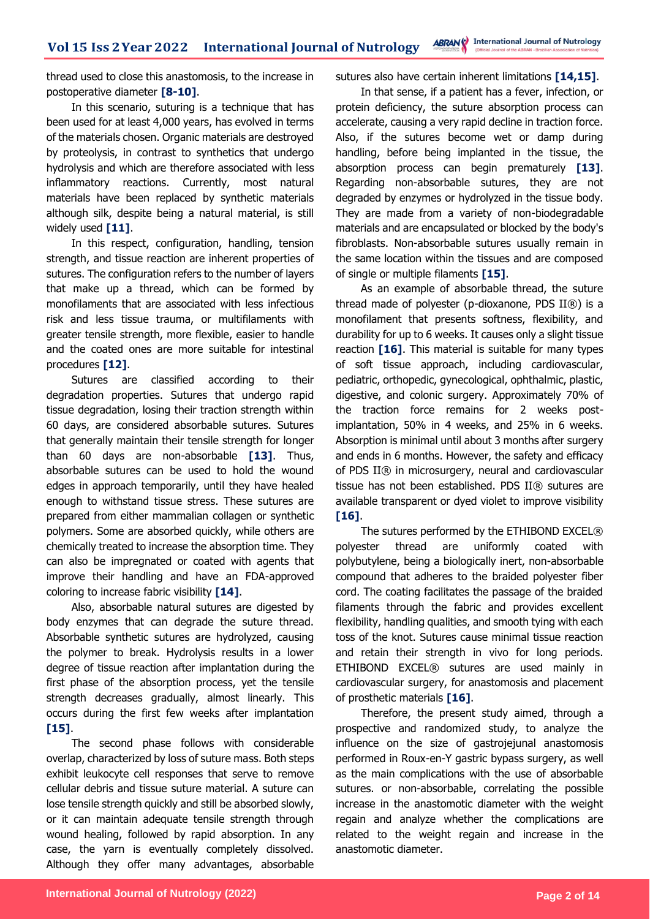thread used to close this anastomosis, to the increase in postoperative diameter **[8-10]**.

In this scenario, suturing is a technique that has been used for at least 4,000 years, has evolved in terms of the materials chosen. Organic materials are destroyed by proteolysis, in contrast to synthetics that undergo hydrolysis and which are therefore associated with less inflammatory reactions. Currently, most natural materials have been replaced by synthetic materials although silk, despite being a natural material, is still widely used **[11]**.

In this respect, configuration, handling, tension strength, and tissue reaction are inherent properties of sutures. The configuration refers to the number of layers that make up a thread, which can be formed by monofilaments that are associated with less infectious risk and less tissue trauma, or multifilaments with greater tensile strength, more flexible, easier to handle and the coated ones are more suitable for intestinal procedures **[12]**.

Sutures are classified according to their degradation properties. Sutures that undergo rapid tissue degradation, losing their traction strength within 60 days, are considered absorbable sutures. Sutures that generally maintain their tensile strength for longer than 60 days are non-absorbable **[13]**. Thus, absorbable sutures can be used to hold the wound edges in approach temporarily, until they have healed enough to withstand tissue stress. These sutures are prepared from either mammalian collagen or synthetic polymers. Some are absorbed quickly, while others are chemically treated to increase the absorption time. They can also be impregnated or coated with agents that improve their handling and have an FDA-approved coloring to increase fabric visibility **[14]**.

Also, absorbable natural sutures are digested by body enzymes that can degrade the suture thread. Absorbable synthetic sutures are hydrolyzed, causing the polymer to break. Hydrolysis results in a lower degree of tissue reaction after implantation during the first phase of the absorption process, yet the tensile strength decreases gradually, almost linearly. This occurs during the first few weeks after implantation **[15]**.

The second phase follows with considerable overlap, characterized by loss of suture mass. Both steps exhibit leukocyte cell responses that serve to remove cellular debris and tissue suture material. A suture can lose tensile strength quickly and still be absorbed slowly, or it can maintain adequate tensile strength through wound healing, followed by rapid absorption. In any case, the yarn is eventually completely dissolved. Although they offer many advantages, absorbable

sutures also have certain inherent limitations **[14,15]**.

In that sense, if a patient has a fever, infection, or protein deficiency, the suture absorption process can accelerate, causing a very rapid decline in traction force. Also, if the sutures become wet or damp during handling, before being implanted in the tissue, the absorption process can begin prematurely **[13]**. Regarding non-absorbable sutures, they are not degraded by enzymes or hydrolyzed in the tissue body. They are made from a variety of non-biodegradable materials and are encapsulated or blocked by the body's fibroblasts. Non-absorbable sutures usually remain in the same location within the tissues and are composed of single or multiple filaments **[15]**.

As an example of absorbable thread, the suture thread made of polyester (p-dioxanone, PDS II®) is a monofilament that presents softness, flexibility, and durability for up to 6 weeks. It causes only a slight tissue reaction **[16]**. This material is suitable for many types of soft tissue approach, including cardiovascular, pediatric, orthopedic, gynecological, ophthalmic, plastic, digestive, and colonic surgery. Approximately 70% of the traction force remains for 2 weeks postimplantation, 50% in 4 weeks, and 25% in 6 weeks. Absorption is minimal until about 3 months after surgery and ends in 6 months. However, the safety and efficacy of PDS II® in microsurgery, neural and cardiovascular tissue has not been established. PDS II® sutures are available transparent or dyed violet to improve visibility **[16]**.

The sutures performed by the ETHIBOND EXCEL® polyester thread are uniformly coated with polybutylene, being a biologically inert, non-absorbable compound that adheres to the braided polyester fiber cord. The coating facilitates the passage of the braided filaments through the fabric and provides excellent flexibility, handling qualities, and smooth tying with each toss of the knot. Sutures cause minimal tissue reaction and retain their strength in vivo for long periods. ETHIBOND EXCEL® sutures are used mainly in cardiovascular surgery, for anastomosis and placement of prosthetic materials **[16]**.

Therefore, the present study aimed, through a prospective and randomized study, to analyze the influence on the size of gastrojejunal anastomosis performed in Roux-en-Y gastric bypass surgery, as well as the main complications with the use of absorbable sutures. or non-absorbable, correlating the possible increase in the anastomotic diameter with the weight regain and analyze whether the complications are related to the weight regain and increase in the anastomotic diameter.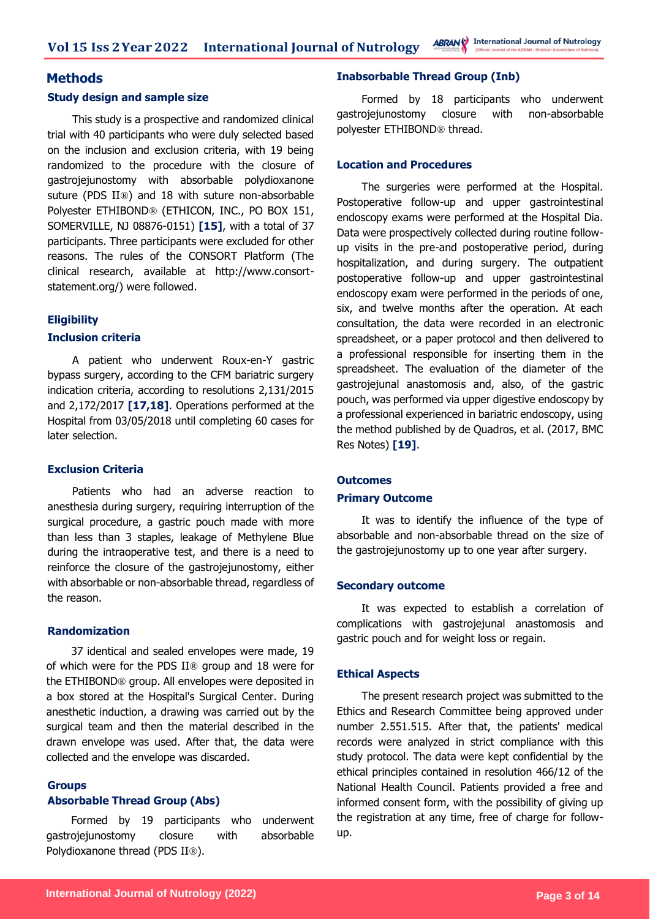**ABRANC** International Journal of Nutrology **Vol 15 Iss 2Year 2022 International Journal of Nutrology**

### **Methods**

#### **Study design and sample size**

This study is a prospective and randomized clinical trial with 40 participants who were duly selected based on the inclusion and exclusion criteria, with 19 being randomized to the procedure with the closure of gastrojejunostomy with absorbable polydioxanone suture (PDS II®) and 18 with suture non-absorbable Polyester ETHIBOND® (ETHICON, INC., PO BOX 151, SOMERVILLE, NJ 08876-0151) **[15]**, with a total of 37 participants. Three participants were excluded for other reasons. The rules of the CONSORT Platform (The clinical research, available at http://www.consortstatement.org/) were followed.

#### **Eligibility**

#### **Inclusion criteria**

A patient who underwent Roux-en-Y gastric bypass surgery, according to the CFM bariatric surgery indication criteria, according to resolutions 2,131/2015 and 2,172/2017 **[17,18]**. Operations performed at the Hospital from 03/05/2018 until completing 60 cases for later selection.

#### **Exclusion Criteria**

Patients who had an adverse reaction to anesthesia during surgery, requiring interruption of the surgical procedure, a gastric pouch made with more than less than 3 staples, leakage of Methylene Blue during the intraoperative test, and there is a need to reinforce the closure of the gastrojejunostomy, either with absorbable or non-absorbable thread, regardless of the reason.

#### **Randomization**

37 identical and sealed envelopes were made, 19 of which were for the PDS II® group and 18 were for the ETHIBOND® group. All envelopes were deposited in a box stored at the Hospital's Surgical Center. During anesthetic induction, a drawing was carried out by the surgical team and then the material described in the drawn envelope was used. After that, the data were collected and the envelope was discarded.

#### **Groups Absorbable Thread Group (Abs)**

Formed by 19 participants who underwent gastrojejunostomy closure with absorbable Polydioxanone thread (PDS II®).

#### **Inabsorbable Thread Group (Inb)**

Formed by 18 participants who underwent gastrojejunostomy closure with non-absorbable polyester ETHIBOND® thread.

#### **Location and Procedures**

The surgeries were performed at the Hospital. Postoperative follow-up and upper gastrointestinal endoscopy exams were performed at the Hospital Dia. Data were prospectively collected during routine followup visits in the pre-and postoperative period, during hospitalization, and during surgery. The outpatient postoperative follow-up and upper gastrointestinal endoscopy exam were performed in the periods of one, six, and twelve months after the operation. At each consultation, the data were recorded in an electronic spreadsheet, or a paper protocol and then delivered to a professional responsible for inserting them in the spreadsheet. The evaluation of the diameter of the gastrojejunal anastomosis and, also, of the gastric pouch, was performed via upper digestive endoscopy by a professional experienced in bariatric endoscopy, using the method published by de Quadros, et al. (2017, BMC Res Notes) **[19]**.

#### **Outcomes Primary Outcome**

It was to identify the influence of the type of absorbable and non-absorbable thread on the size of the gastrojejunostomy up to one year after surgery.

#### **Secondary outcome**

It was expected to establish a correlation of complications with gastrojejunal anastomosis and gastric pouch and for weight loss or regain.

#### **Ethical Aspects**

The present research project was submitted to the Ethics and Research Committee being approved under number 2.551.515. After that, the patients' medical records were analyzed in strict compliance with this study protocol. The data were kept confidential by the ethical principles contained in resolution 466/12 of the National Health Council. Patients provided a free and informed consent form, with the possibility of giving up the registration at any time, free of charge for followup.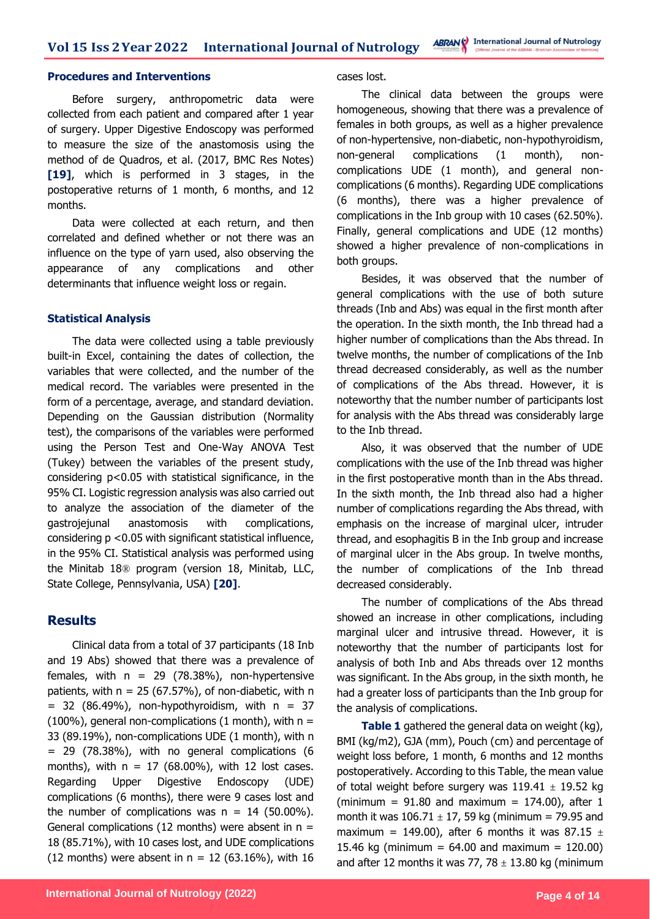#### **Procedures and Interventions**

Before surgery, anthropometric data were collected from each patient and compared after 1 year of surgery. Upper Digestive Endoscopy was performed to measure the size of the anastomosis using the method of de Quadros, et al. (2017, BMC Res Notes) **[19]**, which is performed in 3 stages, in the postoperative returns of 1 month, 6 months, and 12 months.

Data were collected at each return, and then correlated and defined whether or not there was an influence on the type of yarn used, also observing the appearance of any complications and other determinants that influence weight loss or regain.

#### **Statistical Analysis**

The data were collected using a table previously built-in Excel, containing the dates of collection, the variables that were collected, and the number of the medical record. The variables were presented in the form of a percentage, average, and standard deviation. Depending on the Gaussian distribution (Normality test), the comparisons of the variables were performed using the Person Test and One-Way ANOVA Test (Tukey) between the variables of the present study, considering  $p < 0.05$  with statistical significance, in the 95% CI. Logistic regression analysis was also carried out to analyze the association of the diameter of the gastrojejunal anastomosis with complications, considering p <0.05 with significant statistical influence, in the 95% CI. Statistical analysis was performed using the Minitab 18® program (version 18, Minitab, LLC, State College, Pennsylvania, USA) **[20]**.

### **Results**

Clinical data from a total of 37 participants (18 Inb and 19 Abs) showed that there was a prevalence of females, with  $n = 29$  (78.38%), non-hypertensive patients, with  $n = 25 (67.57%)$ , of non-diabetic, with n  $= 32$  (86.49%), non-hypothyroidism, with  $n = 37$ (100%), general non-complications (1 month), with  $n =$ 33 (89.19%), non-complications UDE (1 month), with n = 29 (78.38%), with no general complications (6 months), with  $n = 17$  (68.00%), with 12 lost cases. Regarding Upper Digestive Endoscopy (UDE) complications (6 months), there were 9 cases lost and the number of complications was  $n = 14$  (50.00%). General complications (12 months) were absent in  $n =$ 18 (85.71%), with 10 cases lost, and UDE complications (12 months) were absent in  $n = 12$  (63.16%), with 16

cases lost.

The clinical data between the groups were homogeneous, showing that there was a prevalence of females in both groups, as well as a higher prevalence of non-hypertensive, non-diabetic, non-hypothyroidism, non-general complications (1 month), noncomplications UDE (1 month), and general noncomplications (6 months). Regarding UDE complications (6 months), there was a higher prevalence of complications in the Inb group with 10 cases (62.50%). Finally, general complications and UDE (12 months) showed a higher prevalence of non-complications in both groups.

Besides, it was observed that the number of general complications with the use of both suture threads (Inb and Abs) was equal in the first month after the operation. In the sixth month, the Inb thread had a higher number of complications than the Abs thread. In twelve months, the number of complications of the Inb thread decreased considerably, as well as the number of complications of the Abs thread. However, it is noteworthy that the number number of participants lost for analysis with the Abs thread was considerably large to the Inb thread.

Also, it was observed that the number of UDE complications with the use of the Inb thread was higher in the first postoperative month than in the Abs thread. In the sixth month, the Inb thread also had a higher number of complications regarding the Abs thread, with emphasis on the increase of marginal ulcer, intruder thread, and esophagitis B in the Inb group and increase of marginal ulcer in the Abs group. In twelve months, the number of complications of the Inb thread decreased considerably.

The number of complications of the Abs thread showed an increase in other complications, including marginal ulcer and intrusive thread. However, it is noteworthy that the number of participants lost for analysis of both Inb and Abs threads over 12 months was significant. In the Abs group, in the sixth month, he had a greater loss of participants than the Inb group for the analysis of complications.

**Table 1** gathered the general data on weight (kg), BMI (kg/m2), GJA (mm), Pouch (cm) and percentage of weight loss before, 1 month, 6 months and 12 months postoperatively. According to this Table, the mean value of total weight before surgery was  $119.41 \pm 19.52$  kg (minimum =  $91.80$  and maximum =  $174.00$ ), after 1 month it was  $106.71 \pm 17$ , 59 kg (minimum = 79.95 and maximum = 149.00), after 6 months it was 87.15  $\pm$ 15.46 kg (minimum =  $64.00$  and maximum = 120.00) and after 12 months it was 77, 78  $\pm$  13.80 kg (minimum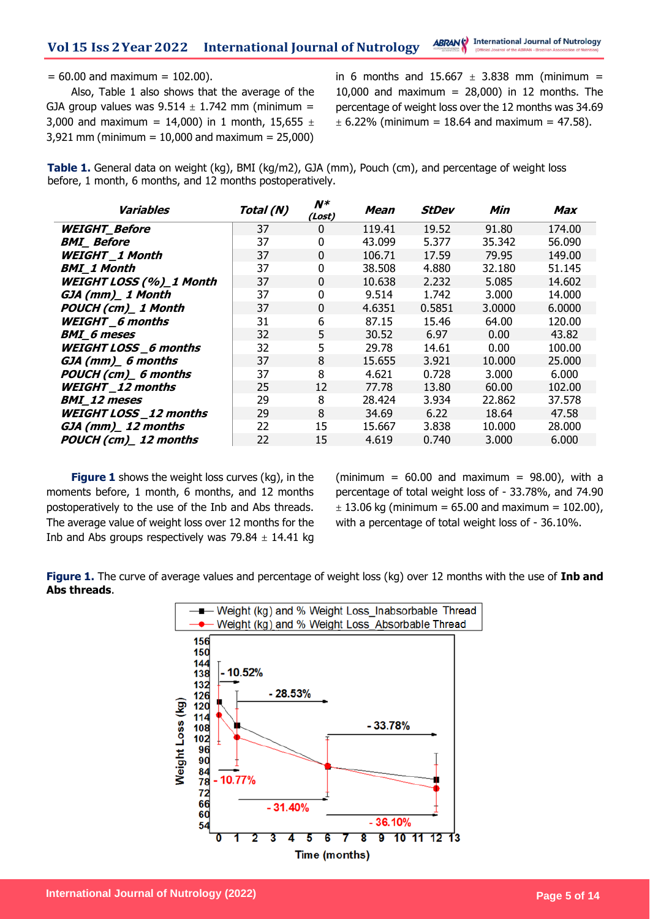#### $= 60.00$  and maximum  $= 102.00$ ).

Also, Table 1 also shows that the average of the GJA group values was  $9.514 \pm 1.742$  mm (minimum = 3,000 and maximum = 14,000) in 1 month, 15,655  $\pm$ 3,921 mm (minimum = 10,000 and maximum = 25,000) in 6 months and  $15.667 \pm 3.838$  mm (minimum = 10,000 and maximum =  $28,000$ ) in 12 months. The percentage of weight loss over the 12 months was 34.69  $\pm$  6.22% (minimum = 18.64 and maximum = 47.58).

**Table 1.** General data on weight (kg), BMI (kg/m2), GJA (mm), Pouch (cm), and percentage of weight loss before, 1 month, 6 months, and 12 months postoperatively.

| <b>Variables</b>               | Total (N) | $N^*$<br>(Lost) | Mean   | StDev  | Min    | Max    |
|--------------------------------|-----------|-----------------|--------|--------|--------|--------|
| <b>WEIGHT_Before</b>           | 37        | 0               | 119.41 | 19.52  | 91.80  | 174.00 |
| <b>BMI</b> Before              | 37        | $\Omega$        | 43.099 | 5.377  | 35.342 | 56.090 |
| <b>WEIGHT 1 Month</b>          | 37        | 0               | 106.71 | 17.59  | 79.95  | 149.00 |
| <b>BMI_1 Month</b>             | 37        | 0               | 38.508 | 4.880  | 32.180 | 51.145 |
| <b>WEIGHT LOSS (%)_1 Month</b> | 37        | 0               | 10.638 | 2.232  | 5.085  | 14.602 |
| GJA (mm)_1 Month               | 37        | 0               | 9.514  | 1.742  | 3.000  | 14.000 |
| POUCH (cm)_1 Month             | 37        | 0               | 4.6351 | 0.5851 | 3.0000 | 6.0000 |
| <b>WEIGHT_6</b> months         | 31        | 6               | 87.15  | 15.46  | 64.00  | 120.00 |
| <b>BMI</b> 6 meses             | 32        | 5               | 30.52  | 6.97   | 0.00   | 43.82  |
| <b>WEIGHT LOSS_6 months</b>    | 32        | 5               | 29.78  | 14.61  | 0.00   | 100.00 |
| GJA (mm) 6 months              | 37        | 8               | 15.655 | 3.921  | 10.000 | 25,000 |
| POUCH (cm) 6 months            | 37        | 8               | 4.621  | 0.728  | 3.000  | 6.000  |
| <b>WEIGHT_12 months</b>        | 25        | 12              | 77.78  | 13.80  | 60.00  | 102.00 |
| <b>BMI</b> 12 meses            | 29        | 8               | 28.424 | 3.934  | 22.862 | 37.578 |
| <b>WEIGHT LOSS</b> 12 months   | 29        | 8               | 34.69  | 6.22   | 18.64  | 47.58  |
| GJA (mm) 12 months             | 22        | 15              | 15.667 | 3.838  | 10.000 | 28,000 |
| POUCH (cm)_12 months           | 22        | 15              | 4.619  | 0.740  | 3.000  | 6.000  |

**Figure 1** shows the weight loss curves (kg), in the moments before, 1 month, 6 months, and 12 months postoperatively to the use of the Inb and Abs threads. The average value of weight loss over 12 months for the Inb and Abs groups respectively was  $79.84 \pm 14.41$  kg (minimum =  $60.00$  and maximum =  $98.00$ ), with a percentage of total weight loss of - 33.78%, and 74.90  $\pm$  13.06 kg (minimum = 65.00 and maximum = 102.00), with a percentage of total weight loss of - 36.10%.

**Figure 1.** The curve of average values and percentage of weight loss (kg) over 12 months with the use of **Inb and Abs threads**.

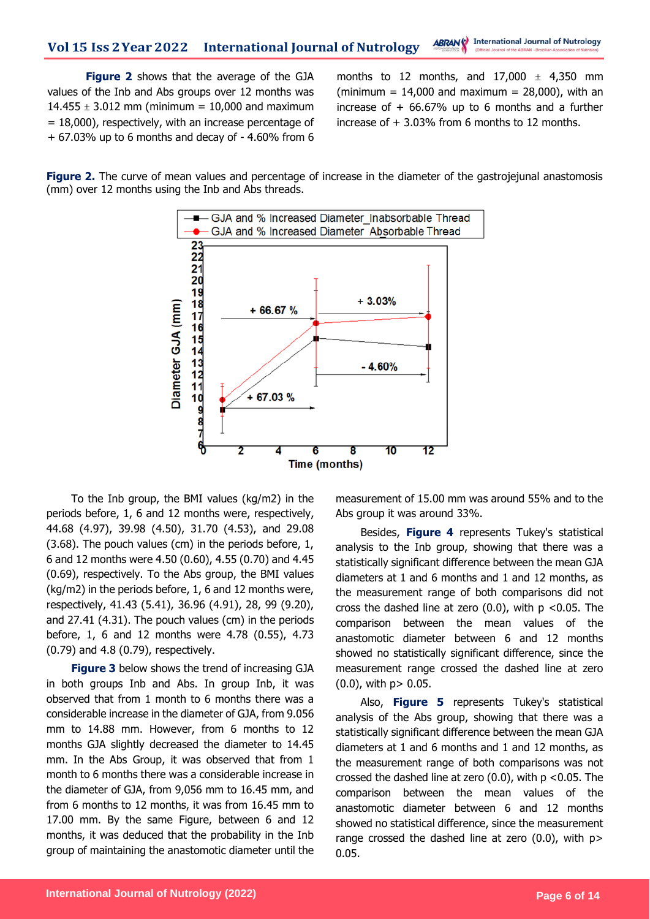**Figure 2** shows that the average of the GJA values of the Inb and Abs groups over 12 months was  $14.455 \pm 3.012$  mm (minimum = 10,000 and maximum  $= 18,000$ ), respectively, with an increase percentage of + 67.03% up to 6 months and decay of - 4.60% from 6

months to 12 months, and  $17,000 \pm 4,350$  mm (minimum =  $14,000$  and maximum =  $28,000$ ), with an increase of  $+66.67\%$  up to 6 months and a further increase of + 3.03% from 6 months to 12 months.

**Figure 2.** The curve of mean values and percentage of increase in the diameter of the gastrojejunal anastomosis (mm) over 12 months using the Inb and Abs threads.



To the Inb group, the BMI values (kg/m2) in the periods before, 1, 6 and 12 months were, respectively, 44.68 (4.97), 39.98 (4.50), 31.70 (4.53), and 29.08 (3.68). The pouch values (cm) in the periods before, 1, 6 and 12 months were 4.50 (0.60), 4.55 (0.70) and 4.45 (0.69), respectively. To the Abs group, the BMI values (kg/m2) in the periods before, 1, 6 and 12 months were, respectively, 41.43 (5.41), 36.96 (4.91), 28, 99 (9.20), and 27.41 (4.31). The pouch values (cm) in the periods before, 1, 6 and 12 months were 4.78 (0.55), 4.73 (0.79) and 4.8 (0.79), respectively.

**Figure 3** below shows the trend of increasing GJA in both groups Inb and Abs. In group Inb, it was observed that from 1 month to 6 months there was a considerable increase in the diameter of GJA, from 9.056 mm to 14.88 mm. However, from 6 months to 12 months GJA slightly decreased the diameter to 14.45 mm. In the Abs Group, it was observed that from 1 month to 6 months there was a considerable increase in the diameter of GJA, from 9,056 mm to 16.45 mm, and from 6 months to 12 months, it was from 16.45 mm to 17.00 mm. By the same Figure, between 6 and 12 months, it was deduced that the probability in the Inb group of maintaining the anastomotic diameter until the

measurement of 15.00 mm was around 55% and to the Abs group it was around 33%.

Besides, **Figure 4** represents Tukey's statistical analysis to the Inb group, showing that there was a statistically significant difference between the mean GJA diameters at 1 and 6 months and 1 and 12 months, as the measurement range of both comparisons did not cross the dashed line at zero  $(0.0)$ , with  $p < 0.05$ . The comparison between the mean values of the anastomotic diameter between 6 and 12 months showed no statistically significant difference, since the measurement range crossed the dashed line at zero  $(0.0)$ , with  $p > 0.05$ .

Also, **Figure 5** represents Tukey's statistical analysis of the Abs group, showing that there was a statistically significant difference between the mean GJA diameters at 1 and 6 months and 1 and 12 months, as the measurement range of both comparisons was not crossed the dashed line at zero (0.0), with p <0.05. The comparison between the mean values of the anastomotic diameter between 6 and 12 months showed no statistical difference, since the measurement range crossed the dashed line at zero (0.0), with p> 0.05.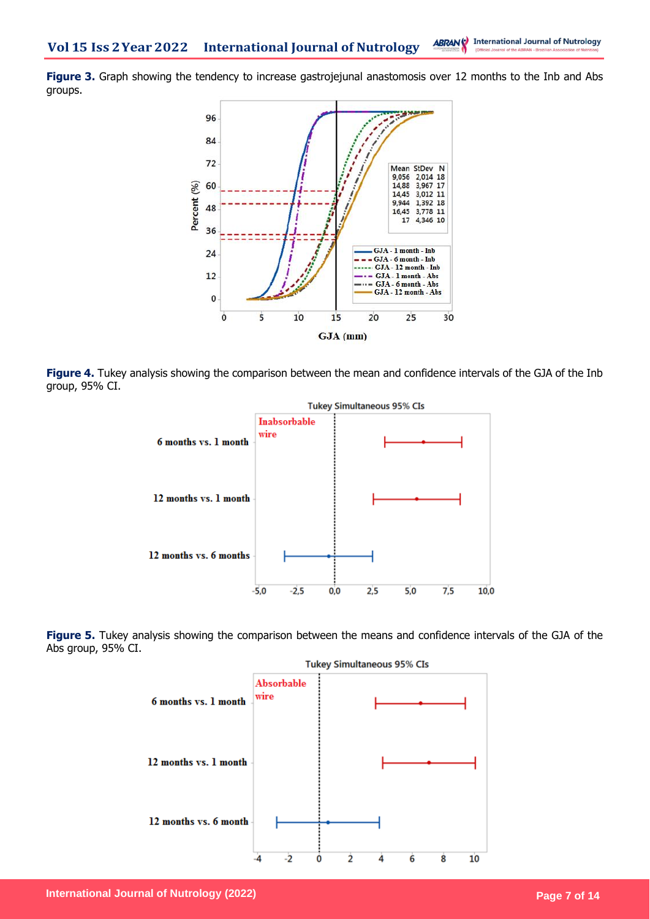**Figure 3.** Graph showing the tendency to increase gastrojejunal anastomosis over 12 months to the Inb and Abs groups.



**Figure 4.** Tukey analysis showing the comparison between the mean and confidence intervals of the GJA of the Inb group, 95% CI.



**Figure 5.** Tukey analysis showing the comparison between the means and confidence intervals of the GJA of the Abs group, 95% CI.

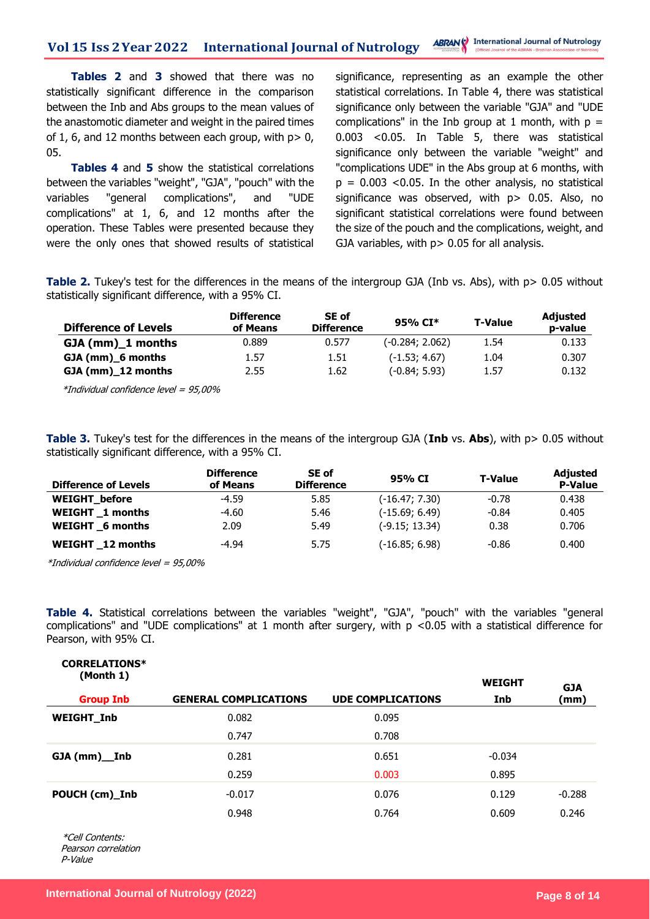**Tables 2** and **3** showed that there was no statistically significant difference in the comparison between the Inb and Abs groups to the mean values of the anastomotic diameter and weight in the paired times of 1, 6, and 12 months between each group, with  $p > 0$ , 05.

**Tables 4** and **5** show the statistical correlations between the variables "weight", "GJA", "pouch" with the variables "general complications", and "UDE complications" at 1, 6, and 12 months after the operation. These Tables were presented because they were the only ones that showed results of statistical significance, representing as an example the other statistical correlations. In Table 4, there was statistical significance only between the variable "GJA" and "UDE complications" in the Inb group at 1 month, with  $p =$ 0.003 <0.05. In Table 5, there was statistical significance only between the variable "weight" and "complications UDE" in the Abs group at 6 months, with  $p = 0.003$  <0.05. In the other analysis, no statistical significance was observed, with p > 0.05. Also, no significant statistical correlations were found between the size of the pouch and the complications, weight, and GJA variables, with p > 0.05 for all analysis.

**Table 2.** Tukey's test for the differences in the means of the intergroup GJA (Inb vs. Abs), with p> 0.05 without statistically significant difference, with a 95% CI.

| <b>Difference of Levels</b> | <b>Difference</b><br>of Means | SE of<br><b>Difference</b> | 95% CI*           | <b>T-Value</b> | <b>Adjusted</b><br>p-value |
|-----------------------------|-------------------------------|----------------------------|-------------------|----------------|----------------------------|
| $GJA$ (mm) $1$ months       | 0.889                         | 0.577                      | $(-0.284; 2.062)$ | 1.54           | 0.133                      |
| GJA (mm) 6 months           | 1.57                          | 1.51                       | $(-1.53; 4.67)$   | 1.04           | 0.307                      |
| GJA (mm)_12 months          | 2.55                          | 1.62                       | $(-0.84; 5.93)$   | 1.57           | 0.132                      |

\*Individual confidence level = 95,00%

**Table 3.** Tukey's test for the differences in the means of the intergroup GJA (**Inb** vs. **Abs**), with p> 0.05 without statistically significant difference, with a 95% CI.

| <b>Difference of Levels</b> | <b>Difference</b><br>of Means | SE of<br><b>Difference</b> | 95% CI           | <b>T-Value</b> | <b>Adjusted</b><br><b>P-Value</b> |
|-----------------------------|-------------------------------|----------------------------|------------------|----------------|-----------------------------------|
| <b>WEIGHT</b> before        | $-4.59$                       | 5.85                       | $(-16.47; 7.30)$ | $-0.78$        | 0.438                             |
| <b>WEIGHT</b> 1 months      | $-4.60$                       | 5.46                       | $(-15.69; 6.49)$ | $-0.84$        | 0.405                             |
| WEIGHT 6 months             | 2.09                          | 5.49                       | $(-9.15; 13.34)$ | 0.38           | 0.706                             |
| <b>WEIGHT</b> 12 months     | $-4.94$                       | 5.75                       | $(-16.85; 6.98)$ | $-0.86$        | 0.400                             |

\*Individual confidence level = 95,00%

**Table 4.** Statistical correlations between the variables "weight", "GJA", "pouch" with the variables "general complications" and "UDE complications" at 1 month after surgery, with p <0.05 with a statistical difference for Pearson, with 95% CI.

| CORRELATIONS <sup>*</sup><br>(Month 1) |                              |                          | <b>WEIGHT</b> | <b>GJA</b> |
|----------------------------------------|------------------------------|--------------------------|---------------|------------|
| <b>Group Inb</b>                       | <b>GENERAL COMPLICATIONS</b> | <b>UDE COMPLICATIONS</b> | <b>Inb</b>    | (mm)       |
| <b>WEIGHT_Inb</b>                      | 0.082                        | 0.095                    |               |            |
|                                        | 0.747                        | 0.708                    |               |            |
| $GJA(mm)$ Inb                          | 0.281                        | 0.651                    | $-0.034$      |            |
|                                        | 0.259                        | 0.003                    | 0.895         |            |
| POUCH (cm)_Inb                         | $-0.017$                     | 0.076                    | 0.129         | $-0.288$   |
|                                        | 0.948                        | 0.764                    | 0.609         | 0.246      |

\*Cell Contents: Pearson correlation P-Value

**CORRELATIONS\***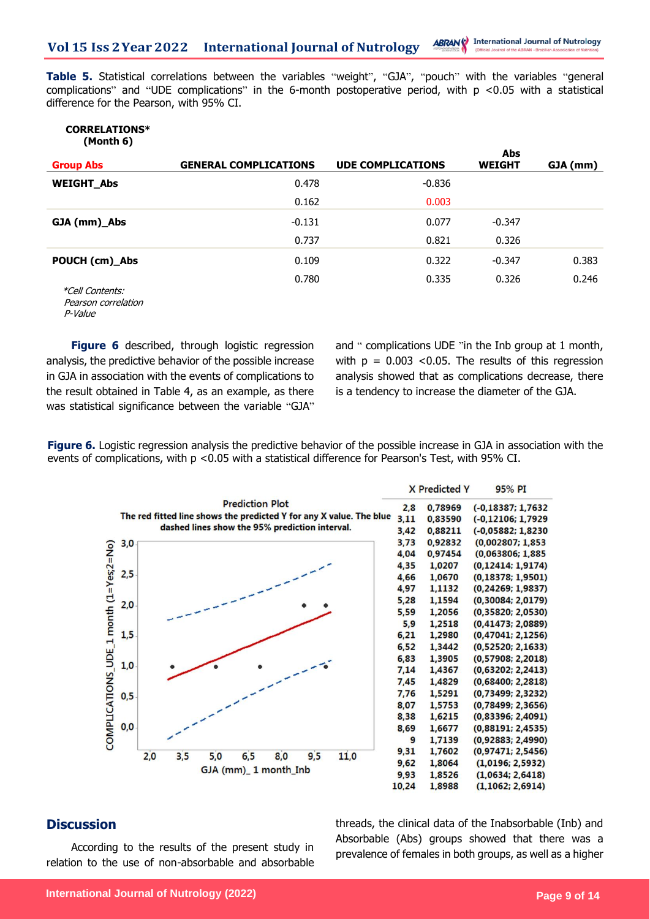**Table 5.** Statistical correlations between the variables "weight", "GJA", "pouch" with the variables "general complications" and "UDE complications" in the 6-month postoperative period, with p <0.05 with a statistical difference for the Pearson, with 95% CI.

#### **CORRELATIONS\* (Month 6)**

|                        |                              |                          | Abs           |          |
|------------------------|------------------------------|--------------------------|---------------|----------|
| <b>Group Abs</b>       | <b>GENERAL COMPLICATIONS</b> | <b>UDE COMPLICATIONS</b> | <b>WEIGHT</b> | GJA (mm) |
| <b>WEIGHT Abs</b>      | 0.478                        | $-0.836$                 |               |          |
|                        | 0.162                        | 0.003                    |               |          |
| GJA (mm)_Abs           | $-0.131$                     | 0.077                    | $-0.347$      |          |
|                        | 0.737                        | 0.821                    | 0.326         |          |
| POUCH (cm)_Abs         | 0.109                        | 0.322                    | $-0.347$      | 0.383    |
| <i>*Cell Contents:</i> | 0.780                        | 0.335                    | 0.326         | 0.246    |

 Pearson correlation P-Value

**Figure 6** described, through logistic regression analysis, the predictive behavior of the possible increase in GJA in association with the events of complications to the result obtained in Table 4, as an example, as there was statistical significance between the variable "GJA"

and " complications UDE "in the Inb group at 1 month, with  $p = 0.003$  <0.05. The results of this regression analysis showed that as complications decrease, there is a tendency to increase the diameter of the GJA.

**Figure 6.** Logistic regression analysis the predictive behavior of the possible increase in GJA in association with the events of complications, with p <0.05 with a statistical difference for Pearson's Test, with 95% CI.



### **Discussion**

According to the results of the present study in relation to the use of non-absorbable and absorbable threads, the clinical data of the Inabsorbable (Inb) and Absorbable (Abs) groups showed that there was a prevalence of females in both groups, as well as a higher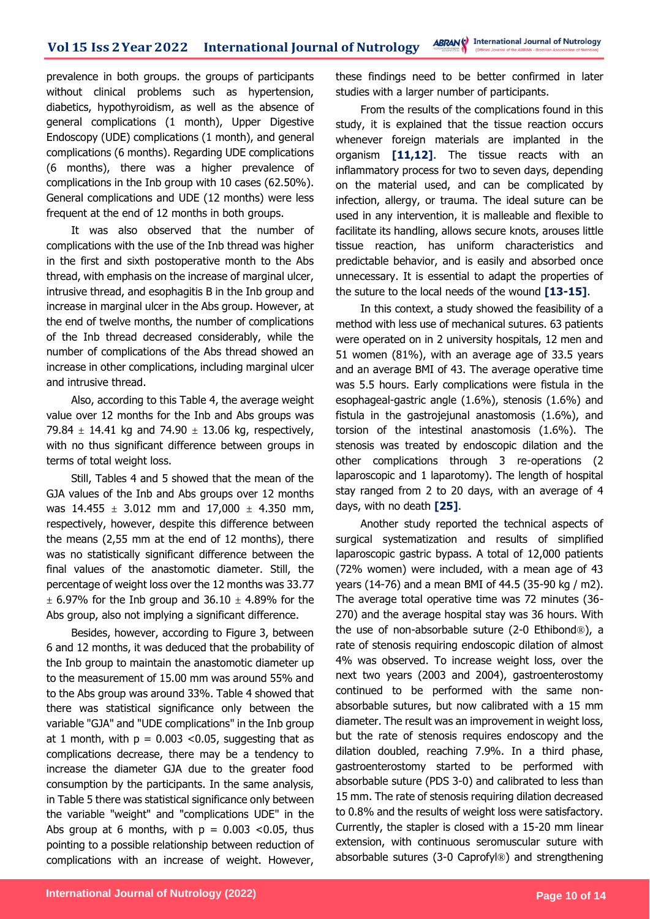prevalence in both groups. the groups of participants without clinical problems such as hypertension, diabetics, hypothyroidism, as well as the absence of general complications (1 month), Upper Digestive Endoscopy (UDE) complications (1 month), and general complications (6 months). Regarding UDE complications (6 months), there was a higher prevalence of complications in the Inb group with 10 cases (62.50%). General complications and UDE (12 months) were less frequent at the end of 12 months in both groups.

It was also observed that the number of complications with the use of the Inb thread was higher in the first and sixth postoperative month to the Abs thread, with emphasis on the increase of marginal ulcer, intrusive thread, and esophagitis B in the Inb group and increase in marginal ulcer in the Abs group. However, at the end of twelve months, the number of complications of the Inb thread decreased considerably, while the number of complications of the Abs thread showed an increase in other complications, including marginal ulcer and intrusive thread.

Also, according to this Table 4, the average weight value over 12 months for the Inb and Abs groups was 79.84  $\pm$  14.41 kg and 74.90  $\pm$  13.06 kg, respectively, with no thus significant difference between groups in terms of total weight loss.

Still, Tables 4 and 5 showed that the mean of the GJA values of the Inb and Abs groups over 12 months was  $14.455 \pm 3.012$  mm and  $17,000 \pm 4.350$  mm, respectively, however, despite this difference between the means (2,55 mm at the end of 12 months), there was no statistically significant difference between the final values of the anastomotic diameter. Still, the percentage of weight loss over the 12 months was 33.77  $\pm$  6.97% for the Inb group and 36.10  $\pm$  4.89% for the Abs group, also not implying a significant difference.

Besides, however, according to Figure 3, between 6 and 12 months, it was deduced that the probability of the Inb group to maintain the anastomotic diameter up to the measurement of 15.00 mm was around 55% and to the Abs group was around 33%. Table 4 showed that there was statistical significance only between the variable "GJA" and "UDE complications" in the Inb group at 1 month, with  $p = 0.003$  <0.05, suggesting that as complications decrease, there may be a tendency to increase the diameter GJA due to the greater food consumption by the participants. In the same analysis, in Table 5 there was statistical significance only between the variable "weight" and "complications UDE" in the Abs group at 6 months, with  $p = 0.003$  <0.05, thus pointing to a possible relationship between reduction of complications with an increase of weight. However, these findings need to be better confirmed in later studies with a larger number of participants.

From the results of the complications found in this study, it is explained that the tissue reaction occurs whenever foreign materials are implanted in the organism **[11,12]**. The tissue reacts with an inflammatory process for two to seven days, depending on the material used, and can be complicated by infection, allergy, or trauma. The ideal suture can be used in any intervention, it is malleable and flexible to facilitate its handling, allows secure knots, arouses little tissue reaction, has uniform characteristics and predictable behavior, and is easily and absorbed once unnecessary. It is essential to adapt the properties of the suture to the local needs of the wound **[13-15]**.

In this context, a study showed the feasibility of a method with less use of mechanical sutures. 63 patients were operated on in 2 university hospitals, 12 men and 51 women (81%), with an average age of 33.5 years and an average BMI of 43. The average operative time was 5.5 hours. Early complications were fistula in the esophageal-gastric angle (1.6%), stenosis (1.6%) and fistula in the gastrojejunal anastomosis (1.6%), and torsion of the intestinal anastomosis (1.6%). The stenosis was treated by endoscopic dilation and the other complications through 3 re-operations (2 laparoscopic and 1 laparotomy). The length of hospital stay ranged from 2 to 20 days, with an average of 4 days, with no death **[25]**.

Another study reported the technical aspects of surgical systematization and results of simplified laparoscopic gastric bypass. A total of 12,000 patients (72% women) were included, with a mean age of 43 years (14-76) and a mean BMI of 44.5 (35-90 kg / m2). The average total operative time was 72 minutes (36- 270) and the average hospital stay was 36 hours. With the use of non-absorbable suture (2-0 Ethibond®), a rate of stenosis requiring endoscopic dilation of almost 4% was observed. To increase weight loss, over the next two years (2003 and 2004), gastroenterostomy continued to be performed with the same nonabsorbable sutures, but now calibrated with a 15 mm diameter. The result was an improvement in weight loss, but the rate of stenosis requires endoscopy and the dilation doubled, reaching 7.9%. In a third phase, gastroenterostomy started to be performed with absorbable suture (PDS 3-0) and calibrated to less than 15 mm. The rate of stenosis requiring dilation decreased to 0.8% and the results of weight loss were satisfactory. Currently, the stapler is closed with a 15-20 mm linear extension, with continuous seromuscular suture with absorbable sutures (3-0 Caprofyl®) and strengthening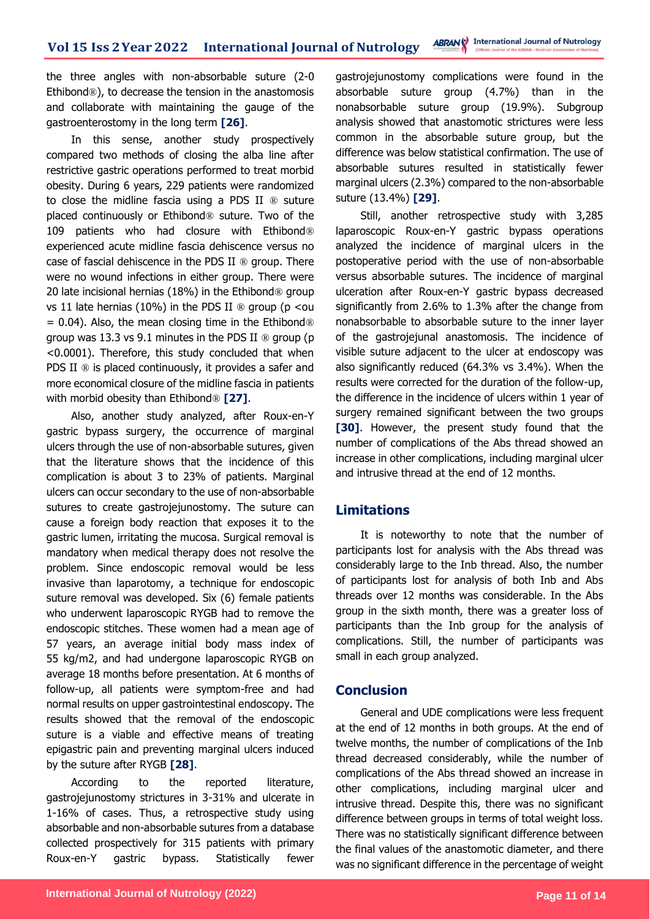the three angles with non-absorbable suture (2-0 Ethibond®), to decrease the tension in the anastomosis and collaborate with maintaining the gauge of the gastroenterostomy in the long term **[26]**.

In this sense, another study prospectively compared two methods of closing the alba line after restrictive gastric operations performed to treat morbid obesity. During 6 years, 229 patients were randomized to close the midline fascia using a PDS II ® suture placed continuously or Ethibond® suture. Two of the 109 patients who had closure with Ethibond® experienced acute midline fascia dehiscence versus no case of fascial dehiscence in the PDS II ® group. There were no wound infections in either group. There were 20 late incisional hernias (18%) in the Ethibond® group vs 11 late hernias (10%) in the PDS II  $\otimes$  group (p <ou  $= 0.04$ ). Also, the mean closing time in the Ethibond® group was 13.3 vs 9.1 minutes in the PDS II  $\otimes$  group (p <0.0001). Therefore, this study concluded that when PDS II  $\circledR$  is placed continuously, it provides a safer and more economical closure of the midline fascia in patients with morbid obesity than Ethibond® **[27]**.

Also, another study analyzed, after Roux-en-Y gastric bypass surgery, the occurrence of marginal ulcers through the use of non-absorbable sutures, given that the literature shows that the incidence of this complication is about 3 to 23% of patients. Marginal ulcers can occur secondary to the use of non-absorbable sutures to create gastrojejunostomy. The suture can cause a foreign body reaction that exposes it to the gastric lumen, irritating the mucosa. Surgical removal is mandatory when medical therapy does not resolve the problem. Since endoscopic removal would be less invasive than laparotomy, a technique for endoscopic suture removal was developed. Six (6) female patients who underwent laparoscopic RYGB had to remove the endoscopic stitches. These women had a mean age of 57 years, an average initial body mass index of 55 kg/m2, and had undergone laparoscopic RYGB on average 18 months before presentation. At 6 months of follow-up, all patients were symptom-free and had normal results on upper gastrointestinal endoscopy. The results showed that the removal of the endoscopic suture is a viable and effective means of treating epigastric pain and preventing marginal ulcers induced by the suture after RYGB **[28]**.

According to the reported literature, gastrojejunostomy strictures in 3-31% and ulcerate in 1-16% of cases. Thus, a retrospective study using absorbable and non-absorbable sutures from a database collected prospectively for 315 patients with primary Roux-en-Y gastric bypass. Statistically fewer

gastrojejunostomy complications were found in the absorbable suture group (4.7%) than in the nonabsorbable suture group (19.9%). Subgroup analysis showed that anastomotic strictures were less common in the absorbable suture group, but the difference was below statistical confirmation. The use of absorbable sutures resulted in statistically fewer marginal ulcers (2.3%) compared to the non-absorbable suture (13.4%) **[29]**.

Still, another retrospective study with 3,285 laparoscopic Roux-en-Y gastric bypass operations analyzed the incidence of marginal ulcers in the postoperative period with the use of non-absorbable versus absorbable sutures. The incidence of marginal ulceration after Roux-en-Y gastric bypass decreased significantly from 2.6% to 1.3% after the change from nonabsorbable to absorbable suture to the inner layer of the gastrojejunal anastomosis. The incidence of visible suture adjacent to the ulcer at endoscopy was also significantly reduced (64.3% vs 3.4%). When the results were corrected for the duration of the follow-up, the difference in the incidence of ulcers within 1 year of surgery remained significant between the two groups **[30]**. However, the present study found that the number of complications of the Abs thread showed an increase in other complications, including marginal ulcer and intrusive thread at the end of 12 months.

### **Limitations**

It is noteworthy to note that the number of participants lost for analysis with the Abs thread was considerably large to the Inb thread. Also, the number of participants lost for analysis of both Inb and Abs threads over 12 months was considerable. In the Abs group in the sixth month, there was a greater loss of participants than the Inb group for the analysis of complications. Still, the number of participants was small in each group analyzed.

### **Conclusion**

General and UDE complications were less frequent at the end of 12 months in both groups. At the end of twelve months, the number of complications of the Inb thread decreased considerably, while the number of complications of the Abs thread showed an increase in other complications, including marginal ulcer and intrusive thread. Despite this, there was no significant difference between groups in terms of total weight loss. There was no statistically significant difference between the final values of the anastomotic diameter, and there was no significant difference in the percentage of weight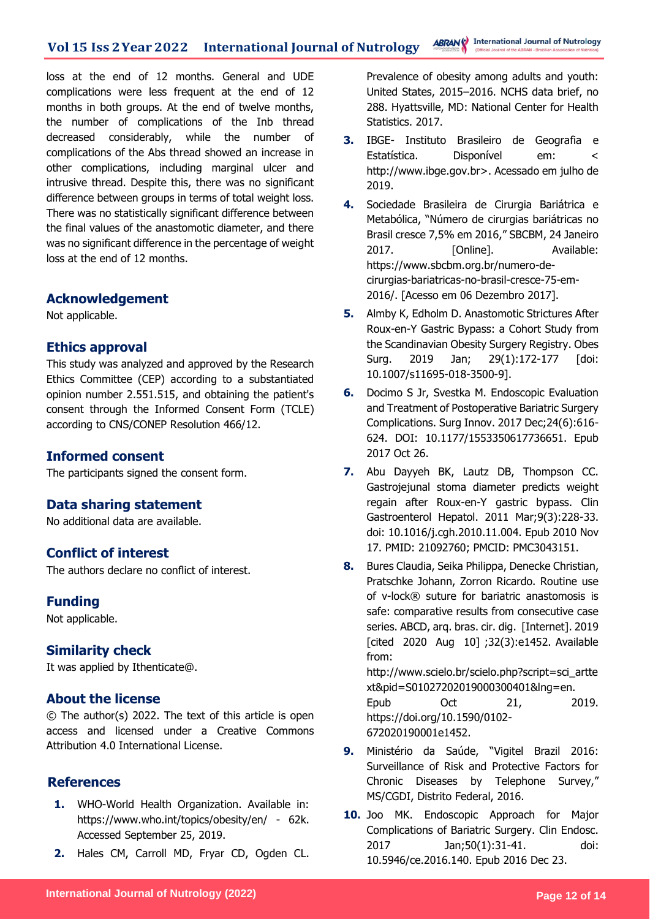loss at the end of 12 months. General and UDE complications were less frequent at the end of 12 months in both groups. At the end of twelve months, the number of complications of the Inb thread decreased considerably, while the number of complications of the Abs thread showed an increase in other complications, including marginal ulcer and intrusive thread. Despite this, there was no significant difference between groups in terms of total weight loss. There was no statistically significant difference between the final values of the anastomotic diameter, and there was no significant difference in the percentage of weight loss at the end of 12 months.

### **Acknowledgement**

Not applicable.

### **Ethics approval**

This study was analyzed and approved by the Research Ethics Committee (CEP) according to a substantiated opinion number 2.551.515, and obtaining the patient's consent through the Informed Consent Form (TCLE) according to CNS/CONEP Resolution 466/12.

### **Informed consent**

The participants signed the consent form.

### **Data sharing statement**

No additional data are available.

### **Conflict of interest**

The authors declare no conflict of interest.

### **Funding**

Not applicable.

### **Similarity check**

It was applied by Ithenticate@.

### **About the license**

© The author(s) 2022. The text of this article is open access and licensed under a Creative Commons Attribution 4.0 International License.

### **References**

- **1.** WHO-World Health Organization. Available in: https://www.who.int/topics/obesity/en/ - 62k. Accessed September 25, 2019.
- **2.** Hales CM, Carroll MD, Fryar CD, Ogden CL.

Prevalence of obesity among adults and youth: United States, 2015–2016. NCHS data brief, no 288. Hyattsville, MD: National Center for Health Statistics. 2017.

- **3.** IBGE- Instituto Brasileiro de Geografia e Estatística. Disponível em: < http://www.ibge.gov.br>. Acessado em julho de 2019.
- **4.** Sociedade Brasileira de Cirurgia Bariátrica e Metabólica, "Número de cirurgias bariátricas no Brasil cresce 7,5% em 2016," SBCBM, 24 Janeiro 2017. [Online]. Available: https://www.sbcbm.org.br/numero-decirurgias-bariatricas-no-brasil-cresce-75-em-2016/. [Acesso em 06 Dezembro 2017].
- **5.** Almby K, Edholm D. Anastomotic Strictures After Roux-en-Y Gastric Bypass: a Cohort Study from the Scandinavian Obesity Surgery Registry. Obes Surg. 2019 Jan; 29(1):172-177 [doi: 10.1007/s11695-018-3500-9].
- **6.** Docimo S Jr, Svestka M. Endoscopic Evaluation and Treatment of Postoperative Bariatric Surgery Complications. Surg Innov. 2017 Dec;24(6):616- 624. DOI: 10.1177/1553350617736651. Epub 2017 Oct 26.
- **7.** Abu Dayyeh BK, Lautz DB, Thompson CC. Gastrojejunal stoma diameter predicts weight regain after Roux-en-Y gastric bypass. Clin Gastroenterol Hepatol. 2011 Mar;9(3):228-33. doi: 10.1016/j.cgh.2010.11.004. Epub 2010 Nov 17. PMID: 21092760; PMCID: PMC3043151.
- **8.** Bures Claudia, Seika Philippa, Denecke Christian, Pratschke Johann, Zorron Ricardo. Routine use of v-lock® suture for bariatric anastomosis is safe: comparative results from consecutive case series. ABCD, arq. bras. cir. dig. [Internet]. 2019 [cited 2020 Aug 10] ;32(3):e1452. Available from: http://www.scielo.br/scielo.php?script=sci\_artte xt&pid=S01027202019000300401&lng=en. Epub Oct 21, 2019.
- **9.** Ministério da Saúde, "Vigitel Brazil 2016: Surveillance of Risk and Protective Factors for Chronic Diseases by Telephone Survey," MS/CGDI, Distrito Federal, 2016.

https://doi.org/10.1590/0102-

672020190001e1452.

**10.** Joo MK. Endoscopic Approach for Major Complications of Bariatric Surgery. Clin Endosc. 2017 Jan;50(1):31-41. doi: 10.5946/ce.2016.140. Epub 2016 Dec 23.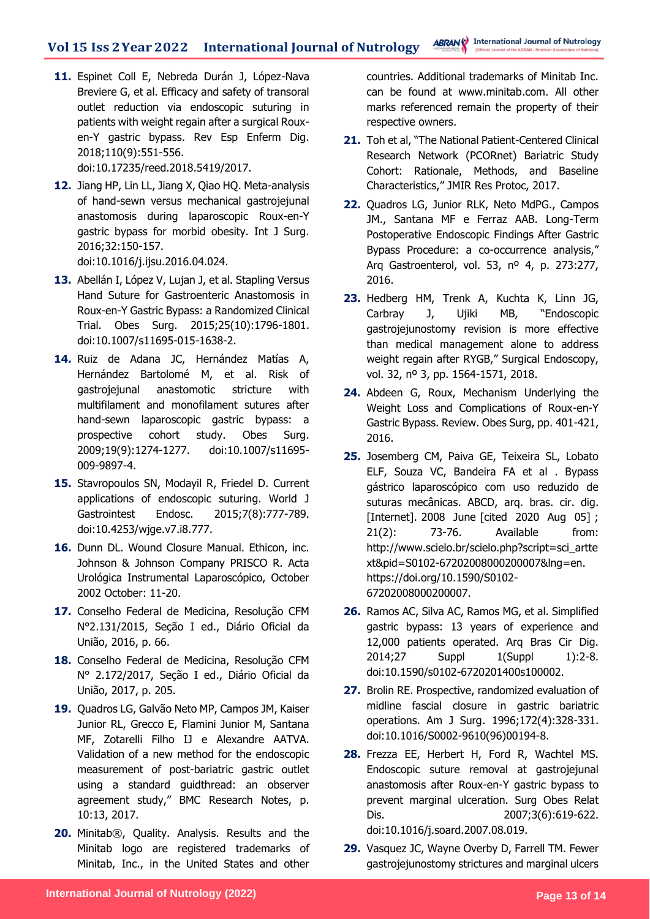**11.** Espinet Coll E, Nebreda Durán J, López-Nava Breviere G, et al. Efficacy and safety of transoral outlet reduction via endoscopic suturing in patients with weight regain after a surgical Rouxen-Y gastric bypass. Rev Esp Enferm Dig. 2018;110(9):551-556.

doi:10.17235/reed.2018.5419/2017.

- **12.** Jiang HP, Lin LL, Jiang X, Qiao HQ. Meta-analysis of hand-sewn versus mechanical gastrojejunal anastomosis during laparoscopic Roux-en-Y gastric bypass for morbid obesity. Int J Surg. 2016;32:150-157. doi:10.1016/j.ijsu.2016.04.024.
- **13.** Abellán I, López V, Lujan J, et al. Stapling Versus Hand Suture for Gastroenteric Anastomosis in Roux-en-Y Gastric Bypass: a Randomized Clinical Trial. Obes Surg. 2015;25(10):1796-1801. doi:10.1007/s11695-015-1638-2.
- **14.** Ruiz de Adana JC, Hernández Matías A, Hernández Bartolomé M, et al. Risk of gastrojejunal anastomotic stricture with multifilament and monofilament sutures after hand-sewn laparoscopic gastric bypass: a prospective cohort study. Obes Surg. 2009;19(9):1274-1277. doi:10.1007/s11695- 009-9897-4.
- **15.** Stavropoulos SN, Modayil R, Friedel D. Current applications of endoscopic suturing. World J Gastrointest Endosc. 2015;7(8):777-789. doi:10.4253/wjge.v7.i8.777.
- **16.** Dunn DL. Wound Closure Manual. Ethicon, inc. Johnson & Johnson Company PRISCO R. Acta Urológica Instrumental Laparoscópico, October 2002 October: 11-20.
- **17.** Conselho Federal de Medicina, Resolução CFM N°2.131/2015, Seção I ed., Diário Oficial da União, 2016, p. 66.
- **18.** Conselho Federal de Medicina, Resolução CFM N° 2.172/2017, Seção I ed., Diário Oficial da União, 2017, p. 205.
- **19.** Quadros LG, Galvão Neto MP, Campos JM, Kaiser Junior RL, Grecco E, Flamini Junior M, Santana MF, Zotarelli Filho IJ e Alexandre AATVA. Validation of a new method for the endoscopic measurement of post-bariatric gastric outlet using a standard guidthread: an observer agreement study," BMC Research Notes, p. 10:13, 2017.
- **20.** Minitab®, Quality. Analysis. Results and the Minitab logo are registered trademarks of Minitab, Inc., in the United States and other

countries. Additional trademarks of Minitab Inc. can be found at www.minitab.com. All other marks referenced remain the property of their respective owners.

- **21.** Toh et al, "The National Patient-Centered Clinical Research Network (PCORnet) Bariatric Study Cohort: Rationale, Methods, and Baseline Characteristics," JMIR Res Protoc, 2017.
- **22.** Quadros LG, Junior RLK, Neto MdPG., Campos JM., Santana MF e Ferraz AAB. Long-Term Postoperative Endoscopic Findings After Gastric Bypass Procedure: a co-occurrence analysis," Arq Gastroenterol, vol. 53, nº 4, p. 273:277, 2016.
- **23.** Hedberg HM, Trenk A, Kuchta K, Linn JG, Carbray J, Ujiki MB, "Endoscopic gastrojejunostomy revision is more effective than medical management alone to address weight regain after RYGB," Surgical Endoscopy, vol. 32, nº 3, pp. 1564-1571, 2018.
- **24.** Abdeen G, Roux, Mechanism Underlying the Weight Loss and Complications of Roux-en-Y Gastric Bypass. Review. Obes Surg, pp. 401-421, 2016.
- **25.** Josemberg CM, Paiva GE, Teixeira SL, Lobato ELF, Souza VC, Bandeira FA et al . Bypass gástrico laparoscópico com uso reduzido de suturas mecânicas. ABCD, arq. bras. cir. dig. [Internet]. 2008 June [cited 2020 Aug 05]; 21(2): 73-76. Available from: http://www.scielo.br/scielo.php?script=sci\_artte xt&pid=S0102-67202008000200007&lng=en. https://doi.org/10.1590/S0102- 67202008000200007.
- **26.** Ramos AC, Silva AC, Ramos MG, et al. Simplified gastric bypass: 13 years of experience and 12,000 patients operated. Arq Bras Cir Dig. 2014;27 Suppl 1(Suppl 1):2-8. doi:10.1590/s0102-6720201400s100002.
- **27.** Brolin RE. Prospective, randomized evaluation of midline fascial closure in gastric bariatric operations. Am J Surg. 1996;172(4):328-331. doi:10.1016/S0002-9610(96)00194-8.
- **28.** Frezza EE, Herbert H, Ford R, Wachtel MS. Endoscopic suture removal at gastrojejunal anastomosis after Roux-en-Y gastric bypass to prevent marginal ulceration. Surg Obes Relat Dis. 2007;3(6):619-622. doi:10.1016/j.soard.2007.08.019.
- **29.** Vasquez JC, Wayne Overby D, Farrell TM. Fewer gastrojejunostomy strictures and marginal ulcers